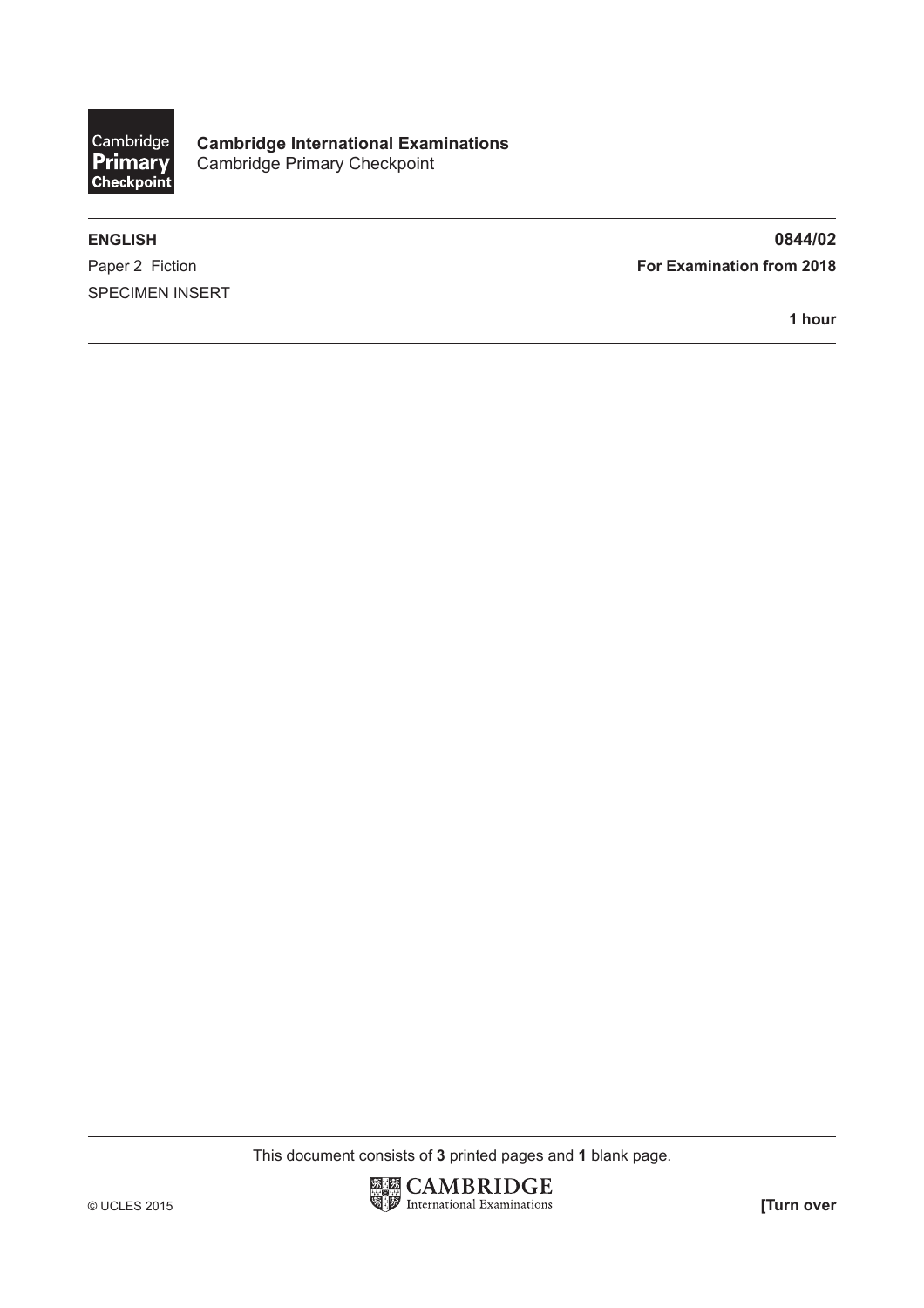

**Cambridge International Examinations** Cambridge Primary Checkpoint

SPECIMEN INSERT

**ENGLISH 0844/02** Paper 2 Fiction **For Examination from 2018** 

**1 hour**

This document consists of **3** printed pages and **1** blank page.

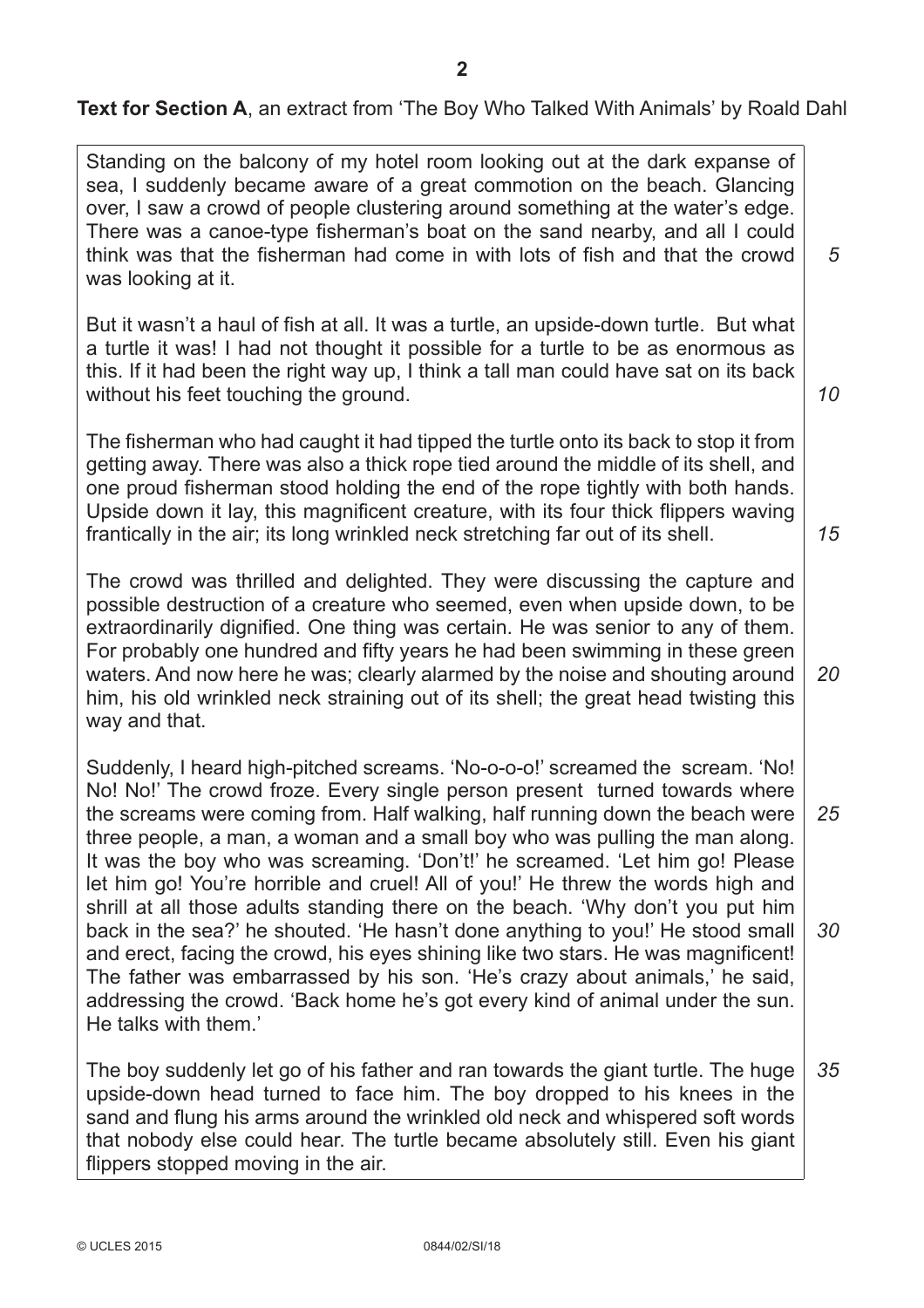**Text for Section A**, an extract from 'The Boy Who Talked With Animals' by Roald Dahl

Standing on the balcony of my hotel room looking out at the dark expanse of sea, I suddenly became aware of a great commotion on the beach. Glancing over, I saw a crowd of people clustering around something at the water's edge. There was a canoe-type fisherman's boat on the sand nearby, and all I could think was that the fisherman had come in with lots of fish and that the crowd was looking at it.

But it wasn't a haul of fish at all. It was a turtle, an upside-down turtle. But what a turtle it was! I had not thought it possible for a turtle to be as enormous as this. If it had been the right way up, I think a tall man could have sat on its back without his feet touching the ground.

The fisherman who had caught it had tipped the turtle onto its back to stop it from getting away. There was also a thick rope tied around the middle of its shell, and one proud fisherman stood holding the end of the rope tightly with both hands. Upside down it lay, this magnificent creature, with its four thick flippers waving frantically in the air; its long wrinkled neck stretching far out of its shell.

The crowd was thrilled and delighted. They were discussing the capture and possible destruction of a creature who seemed, even when upside down, to be extraordinarily dignified. One thing was certain. He was senior to any of them. For probably one hundred and fifty years he had been swimming in these green waters. And now here he was; clearly alarmed by the noise and shouting around him, his old wrinkled neck straining out of its shell; the great head twisting this way and that. *20*

Suddenly, I heard high-pitched screams. 'No-o-o-o!' screamed the scream. 'No! No! No!' The crowd froze. Every single person present turned towards where the screams were coming from. Half walking, half running down the beach were three people, a man, a woman and a small boy who was pulling the man along. It was the boy who was screaming. 'Don't!' he screamed. 'Let him go! Please let him go! You're horrible and cruel! All of you!' He threw the words high and shrill at all those adults standing there on the beach. 'Why don't you put him back in the sea?' he shouted. 'He hasn't done anything to you!' He stood small and erect, facing the crowd, his eyes shining like two stars. He was magnificent! The father was embarrassed by his son. 'He's crazy about animals,' he said, addressing the crowd. 'Back home he's got every kind of animal under the sun. He talks with them.' *25 30*

The boy suddenly let go of his father and ran towards the giant turtle. The huge upside-down head turned to face him. The boy dropped to his knees in the sand and flung his arms around the wrinkled old neck and whispered soft words that nobody else could hear. The turtle became absolutely still. Even his giant flippers stopped moving in the air. *35*

*5*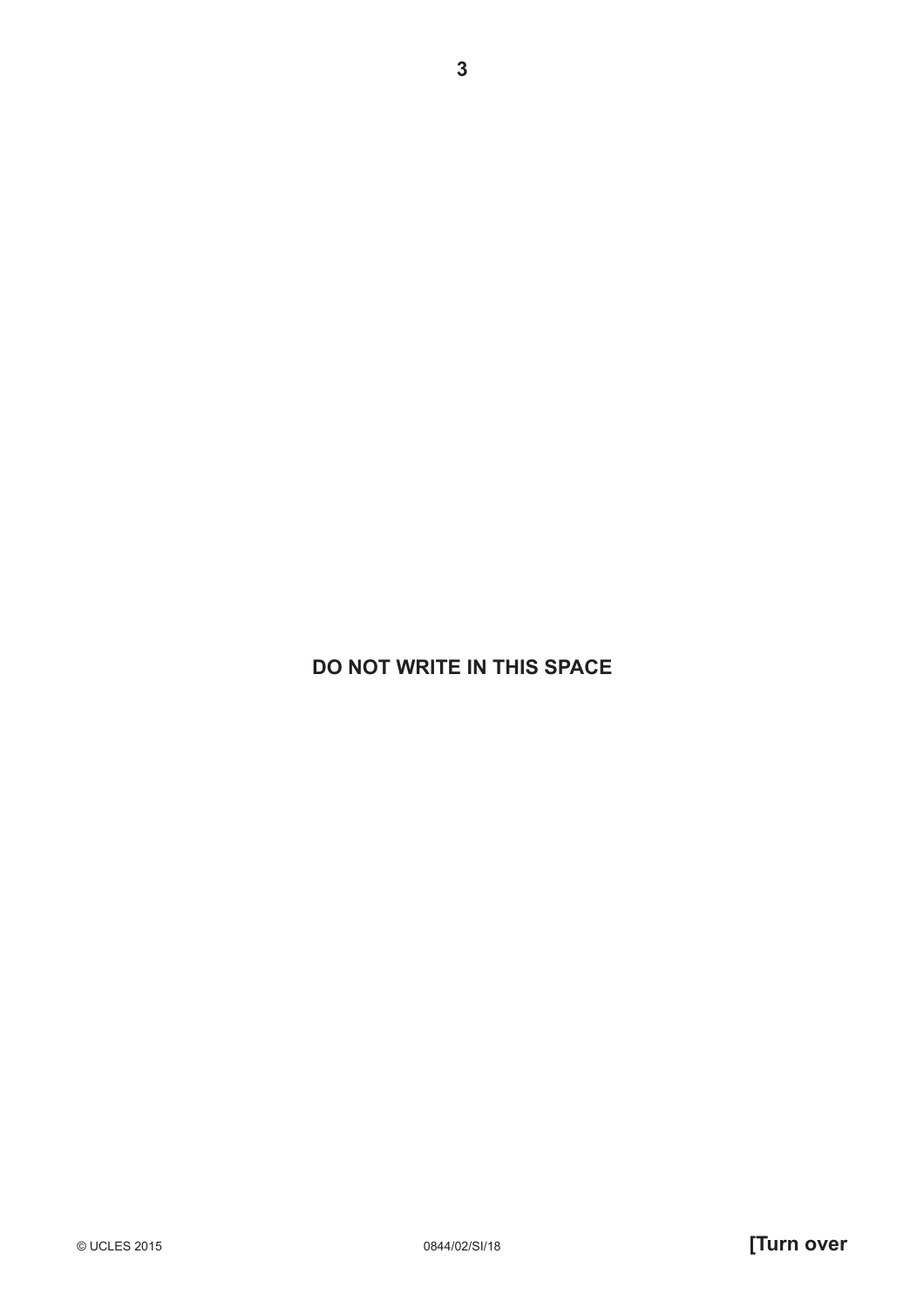**DO NOT WRITE IN THIS SPACE**

© UCLES 2015 0844/02/SI/18 **[Turn over**